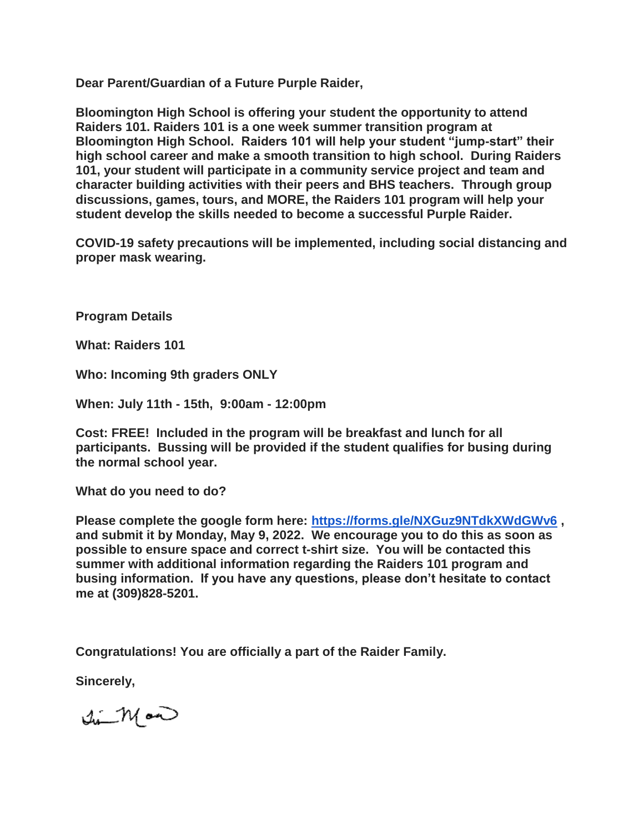**Dear Parent/Guardian of a Future Purple Raider,**

**Bloomington High School is offering your student the opportunity to attend Raiders 101. Raiders 101 is a one week summer transition program at Bloomington High School. Raiders 101 will help your student "jump-start" their high school career and make a smooth transition to high school. During Raiders 101, your student will participate in a community service project and team and character building activities with their peers and BHS teachers. Through group discussions, games, tours, and MORE, the Raiders 101 program will help your student develop the skills needed to become a successful Purple Raider.**

**COVID-19 safety precautions will be implemented, including social distancing and proper mask wearing.**

**Program Details**

**What: Raiders 101**

**Who: Incoming 9th graders ONLY**

**When: July 11th - 15th, 9:00am - 12:00pm**

**Cost: FREE! Included in the program will be breakfast and lunch for all participants. Bussing will be provided if the student qualifies for busing during the normal school year.**

**What do you need to do?**

**Please complete the google form here: <https://forms.gle/NXGuz9NTdkXWdGWv6> , and submit it by Monday, May 9, 2022. We encourage you to do this as soon as possible to ensure space and correct t-shirt size. You will be contacted this summer with additional information regarding the Raiders 101 program and busing information. If you have any questions, please don't hesitate to contact me at (309)828-5201.** 

**Congratulations! You are officially a part of the Raider Family.**

**Sincerely,**

 $\sqrt{1-\mathcal{N}}$  and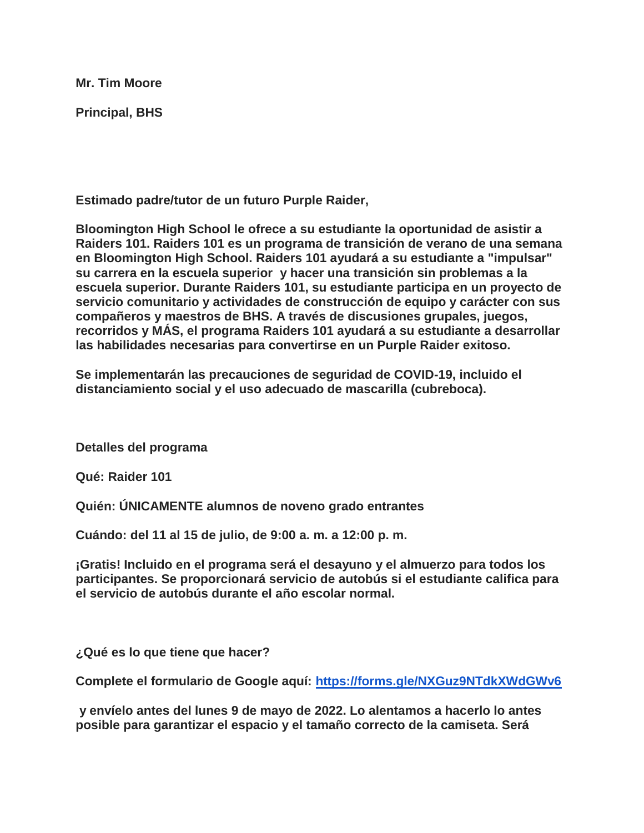**Mr. Tim Moore**

**Principal, BHS**

**Estimado padre/tutor de un futuro Purple Raider,**

**Bloomington High School le ofrece a su estudiante la oportunidad de asistir a Raiders 101. Raiders 101 es un programa de transición de verano de una semana en Bloomington High School. Raiders 101 ayudará a su estudiante a "impulsar" su carrera en la escuela superior y hacer una transición sin problemas a la escuela superior. Durante Raiders 101, su estudiante participa en un proyecto de servicio comunitario y actividades de construcción de equipo y carácter con sus compañeros y maestros de BHS. A través de discusiones grupales, juegos, recorridos y MÁS, el programa Raiders 101 ayudará a su estudiante a desarrollar las habilidades necesarias para convertirse en un Purple Raider exitoso.**

**Se implementarán las precauciones de seguridad de COVID-19, incluido el distanciamiento social y el uso adecuado de mascarilla (cubreboca).**

**Detalles del programa**

**Qué: Raider 101**

**Quién: ÚNICAMENTE alumnos de noveno grado entrantes**

**Cuándo: del 11 al 15 de julio, de 9:00 a. m. a 12:00 p. m.**

**¡Gratis! Incluido en el programa será el desayuno y el almuerzo para todos los participantes. Se proporcionará servicio de autobús si el estudiante califica para el servicio de autobús durante el año escolar normal.**

**¿Qué es lo que tiene que hacer?**

**Complete el formulario de Google aquí: <https://forms.gle/NXGuz9NTdkXWdGWv6>**

**y envíelo antes del lunes 9 de mayo de 2022. Lo alentamos a hacerlo lo antes posible para garantizar el espacio y el tamaño correcto de la camiseta. Será**